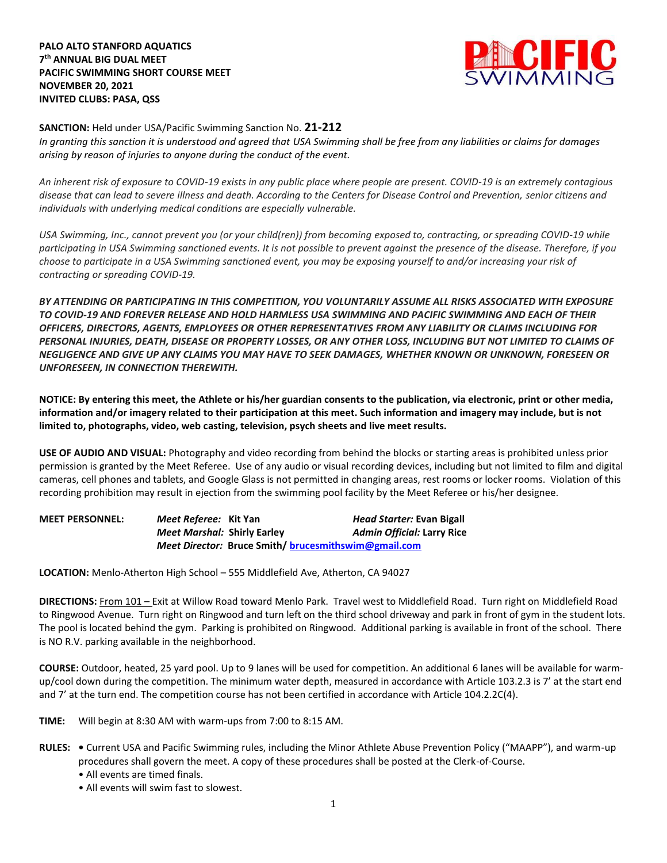**PALO ALTO STANFORD AQUATICS 7 th ANNUAL BIG DUAL MEET PACIFIC SWIMMING SHORT COURSE MEET NOVEMBER 20, 2021 INVITED CLUBS: PASA, QSS**



## **SANCTION:** Held under USA/Pacific Swimming Sanction No. **21-212**

*In granting this sanction it is understood and agreed that USA Swimming shall be free from any liabilities or claims for damages arising by reason of injuries to anyone during the conduct of the event.*

*An inherent risk of exposure to COVID-19 exists in any public place where people are present. COVID-19 is an extremely contagious disease that can lead to severe illness and death. According to the Centers for Disease Control and Prevention, senior citizens and individuals with underlying medical conditions are especially vulnerable.*

*USA Swimming, Inc., cannot prevent you (or your child(ren)) from becoming exposed to, contracting, or spreading COVID-19 while participating in USA Swimming sanctioned events. It is not possible to prevent against the presence of the disease. Therefore, if you choose to participate in a USA Swimming sanctioned event, you may be exposing yourself to and/or increasing your risk of contracting or spreading COVID-19.*

*BY ATTENDING OR PARTICIPATING IN THIS COMPETITION, YOU VOLUNTARILY ASSUME ALL RISKS ASSOCIATED WITH EXPOSURE TO COVID-19 AND FOREVER RELEASE AND HOLD HARMLESS USA SWIMMING AND PACIFIC SWIMMING AND EACH OF THEIR OFFICERS, DIRECTORS, AGENTS, EMPLOYEES OR OTHER REPRESENTATIVES FROM ANY LIABILITY OR CLAIMS INCLUDING FOR PERSONAL INJURIES, DEATH, DISEASE OR PROPERTY LOSSES, OR ANY OTHER LOSS, INCLUDING BUT NOT LIMITED TO CLAIMS OF NEGLIGENCE AND GIVE UP ANY CLAIMS YOU MAY HAVE TO SEEK DAMAGES, WHETHER KNOWN OR UNKNOWN, FORESEEN OR UNFORESEEN, IN CONNECTION THEREWITH.*

**NOTICE: By entering this meet, the Athlete or his/her guardian consents to the publication, via electronic, print or other media, information and/or imagery related to their participation at this meet. Such information and imagery may include, but is not limited to, photographs, video, web casting, television, psych sheets and live meet results.** 

**USE OF AUDIO AND VISUAL:** Photography and video recording from behind the blocks or starting areas is prohibited unless prior permission is granted by the Meet Referee. Use of any audio or visual recording devices, including but not limited to film and digital cameras, cell phones and tablets, and Google Glass is not permitted in changing areas, rest rooms or locker rooms. Violation of this recording prohibition may result in ejection from the swimming pool facility by the Meet Referee or his/her designee.

| <b>MEET PERSONNEL:</b> | Meet Referee: Kit Yan                                | Head Starter: Evan Bigall         |
|------------------------|------------------------------------------------------|-----------------------------------|
|                        | <i>Meet Marshal: Shirly Earley</i>                   | <b>Admin Official: Larry Rice</b> |
|                        | Meet Director: Bruce Smith/ brucesmithswim@gmail.com |                                   |

**LOCATION:** Menlo-Atherton High School – 555 Middlefield Ave, Atherton, CA 94027

**DIRECTIONS:** From 101 – Exit at Willow Road toward Menlo Park. Travel west to Middlefield Road. Turn right on Middlefield Road to Ringwood Avenue. Turn right on Ringwood and turn left on the third school driveway and park in front of gym in the student lots. The pool is located behind the gym. Parking is prohibited on Ringwood. Additional parking is available in front of the school. There is NO R.V. parking available in the neighborhood.

**COURSE:** Outdoor, heated, 25 yard pool. Up to 9 lanes will be used for competition. An additional 6 lanes will be available for warmup/cool down during the competition. The minimum water depth, measured in accordance with Article 103.2.3 is 7' at the start end and 7' at the turn end. The competition course has not been certified in accordance with Article 104.2.2C(4).

- **TIME:** Will begin at 8:30 AM with warm-ups from 7:00 to 8:15 AM.
- **RULES:** Current USA and Pacific Swimming rules, including the Minor Athlete Abuse Prevention Policy ("MAAPP"), and warm-up procedures shall govern the meet. A copy of these procedures shall be posted at the Clerk-of-Course.
	- All events are timed finals.
	- All events will swim fast to slowest.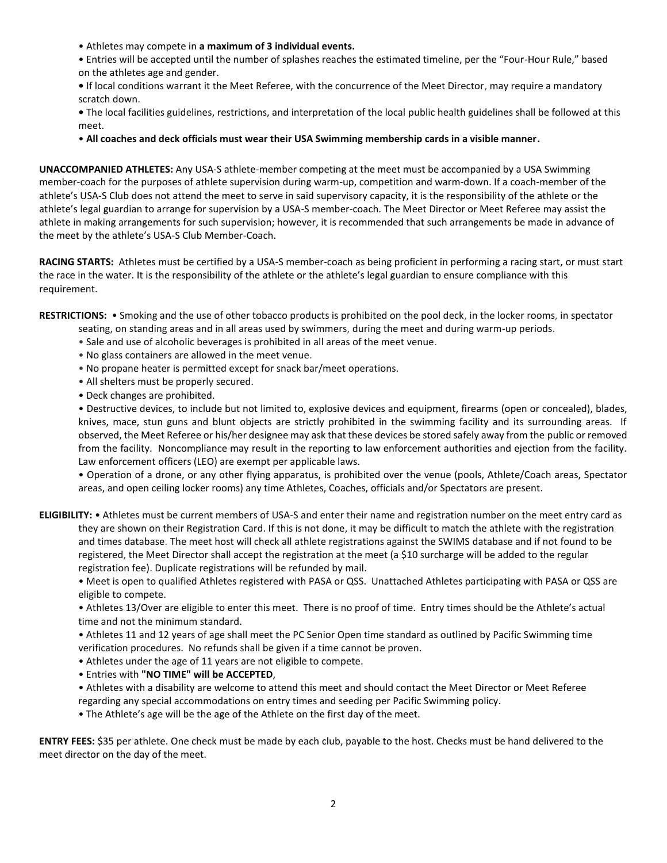- Athletes may compete in **a maximum of 3 individual events.**
- Entries will be accepted until the number of splashes reaches the estimated timeline, per the "Four-Hour Rule," based on the athletes age and gender.
- If local conditions warrant it the Meet Referee, with the concurrence of the Meet Director, may require a mandatory scratch down.
- The local facilities guidelines, restrictions, and interpretation of the local public health guidelines shall be followed at this meet.
- **All coaches and deck officials must wear their USA Swimming membership cards in a visible manner.**

**UNACCOMPANIED ATHLETES:** Any USA-S athlete-member competing at the meet must be accompanied by a USA Swimming member-coach for the purposes of athlete supervision during warm-up, competition and warm-down. If a coach-member of the athlete's USA-S Club does not attend the meet to serve in said supervisory capacity, it is the responsibility of the athlete or the athlete's legal guardian to arrange for supervision by a USA-S member-coach. The Meet Director or Meet Referee may assist the athlete in making arrangements for such supervision; however, it is recommended that such arrangements be made in advance of the meet by the athlete's USA-S Club Member-Coach.

**RACING STARTS:** Athletes must be certified by a USA-S member-coach as being proficient in performing a racing start, or must start the race in the water. It is the responsibility of the athlete or the athlete's legal guardian to ensure compliance with this requirement.

**RESTRICTIONS:** • Smoking and the use of other tobacco products is prohibited on the pool deck, in the locker rooms, in spectator seating, on standing areas and in all areas used by swimmers, during the meet and during warm-up periods.

- Sale and use of alcoholic beverages is prohibited in all areas of the meet venue.
- No glass containers are allowed in the meet venue.
- No propane heater is permitted except for snack bar/meet operations.
- All shelters must be properly secured.
- Deck changes are prohibited.

• Destructive devices, to include but not limited to, explosive devices and equipment, firearms (open or concealed), blades, knives, mace, stun guns and blunt objects are strictly prohibited in the swimming facility and its surrounding areas. If observed, the Meet Referee or his/her designee may ask that these devices be stored safely away from the public or removed from the facility. Noncompliance may result in the reporting to law enforcement authorities and ejection from the facility. Law enforcement officers (LEO) are exempt per applicable laws.

• Operation of a drone, or any other flying apparatus, is prohibited over the venue (pools, Athlete/Coach areas, Spectator areas, and open ceiling locker rooms) any time Athletes, Coaches, officials and/or Spectators are present.

**ELIGIBILITY:** • Athletes must be current members of USA-S and enter their name and registration number on the meet entry card as they are shown on their Registration Card. If this is not done, it may be difficult to match the athlete with the registration and times database. The meet host will check all athlete registrations against the SWIMS database and if not found to be registered, the Meet Director shall accept the registration at the meet (a \$10 surcharge will be added to the regular registration fee). Duplicate registrations will be refunded by mail.

• Meet is open to qualified Athletes registered with PASA or QSS. Unattached Athletes participating with PASA or QSS are eligible to compete.

• Athletes 13/Over are eligible to enter this meet. There is no proof of time. Entry times should be the Athlete's actual time and not the minimum standard.

• Athletes 11 and 12 years of age shall meet the PC Senior Open time standard as outlined by Pacific Swimming time verification procedures. No refunds shall be given if a time cannot be proven.

- Athletes under the age of 11 years are not eligible to compete.
- Entries with **"NO TIME" will be ACCEPTED**,
- Athletes with a disability are welcome to attend this meet and should contact the Meet Director or Meet Referee regarding any special accommodations on entry times and seeding per Pacific Swimming policy.
- The Athlete's age will be the age of the Athlete on the first day of the meet.

**ENTRY FEES:** \$35 per athlete. One check must be made by each club, payable to the host. Checks must be hand delivered to the meet director on the day of the meet.